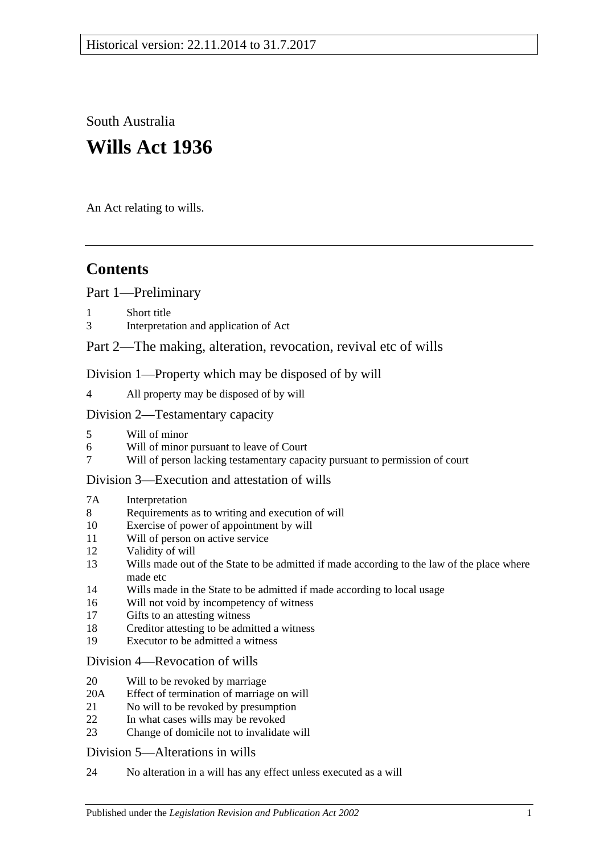South Australia **Wills Act 1936**

An Act relating to wills.

# **Contents**

[Part 1—Preliminary](#page-1-0)

- [Short title](#page-1-1)
- 3 [Interpretation and application of Act](#page-2-0)

## [Part 2—The making, alteration, revocation, revival etc of wills](#page-2-1)

[Division 1—Property which may be disposed of by will](#page-2-2)

4 [All property may be disposed of by will](#page-2-3)

#### [Division 2—Testamentary capacity](#page-3-0)

- 5 [Will of minor](#page-3-1)
- 6 [Will of minor pursuant to leave of Court](#page-3-2)<br>7 Will of person lacking testamentary capa
- 7 [Will of person lacking testamentary capacity pursuant to permission of court](#page-4-0)

#### [Division 3—Execution and attestation of wills](#page-5-0)

#### 7A [Interpretation](#page-5-1)

- 8 [Requirements as to writing and execution of will](#page-6-0)
- 10 [Exercise of power of appointment by will](#page-6-1)
- 11 [Will of person on active service](#page-6-2)
- 12 [Validity of will](#page-6-3)
- 13 [Wills made out of the State to be admitted if made according to the law of the place where](#page-7-0)  [made etc](#page-7-0)
- 14 [Wills made in the State to be admitted if made according to local usage](#page-7-1)
- 16 [Will not void by incompetency of witness](#page-7-2)
- 17 [Gifts to an attesting witness](#page-7-3)
- 18 [Creditor attesting to be admitted a witness](#page-7-4)
- 19 [Executor to be admitted a witness](#page-7-5)

#### [Division 4—Revocation of wills](#page-8-0)

- 20 [Will to be revoked by marriage](#page-8-1)
- 20A [Effect of termination of marriage on will](#page-8-2)
- 21 [No will to be revoked by presumption](#page-9-0)
- 22 [In what cases wills may be revoked](#page-9-1)
- 23 [Change of domicile not to invalidate will](#page-9-2)

#### [Division 5—Alterations in wills](#page-9-3)

24 [No alteration in a will has any effect unless executed as a will](#page-9-4)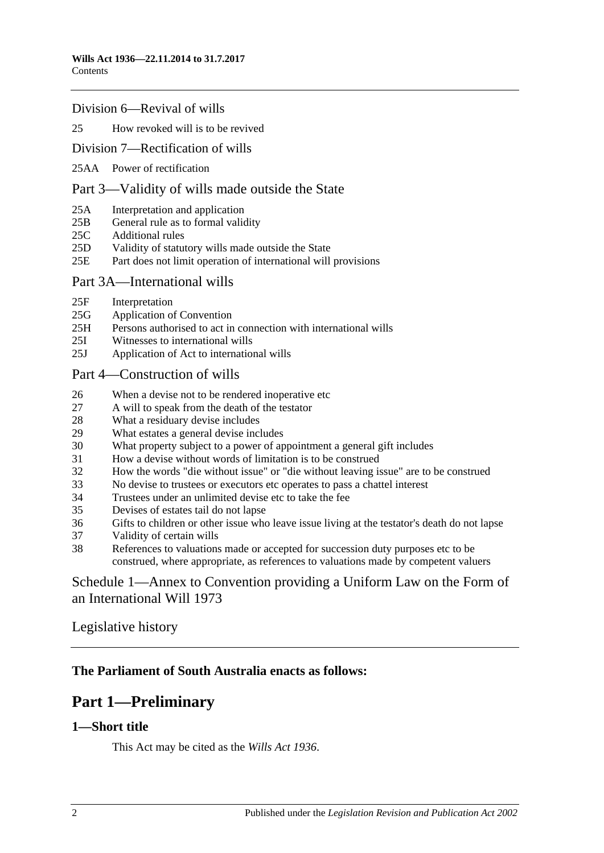#### [Division 6—Revival of wills](#page-10-0)

#### 25 [How revoked will is to be revived](#page-10-1)

#### [Division 7—Rectification of wills](#page-10-2)

25AA [Power of rectification](#page-10-3)

#### [Part 3—Validity of wills made outside the State](#page-10-4)

- 25A [Interpretation and application](#page-10-5)
- 25B [General rule as to formal validity](#page-11-0)
- 25C [Additional rules](#page-11-1)
- 25D [Validity of statutory wills made outside the State](#page-12-0)
- 25E [Part does not limit operation of international will provisions](#page-12-1)

#### [Part 3A—International wills](#page-12-2)

- 25F [Interpretation](#page-12-3)
- 25G [Application of Convention](#page-12-4)
- 25H [Persons authorised to act in connection with international wills](#page-12-5)
- 25I [Witnesses to international wills](#page-12-6)
- 25J [Application of Act to international wills](#page-13-0)

#### [Part 4—Construction of wills](#page-13-1)

- 26 [When a devise not to be rendered inoperative etc](#page-13-2)
- 27 [A will to speak from the death of the testator](#page-13-3)
- 28 [What a residuary devise includes](#page-13-4)
- 29 [What estates a general devise includes](#page-13-5)
- 30 [What property subject to a power of appointment a general gift includes](#page-13-6)
- 31 [How a devise without words of limitation is to be construed](#page-14-0)
- 32 [How the words "die without issue" or "die without leaving issue" are to be construed](#page-14-1)
- 33 [No devise to trustees or executors etc operates to pass a chattel interest](#page-14-2)
- 34 [Trustees under an unlimited devise etc to take the fee](#page-14-3)
- 35 [Devises of estates tail do not lapse](#page-14-4)
- 36 [Gifts to children or other issue who leave issue living at the testator's death do not lapse](#page-15-0)
- 37 [Validity of certain wills](#page-15-1)
- 38 [References to valuations made or accepted for succession duty purposes etc to be](#page-15-2)  [construed, where appropriate, as references to valuations made by competent valuers](#page-15-2)

## [Schedule 1—Annex to Convention providing a Uniform Law on the Form of](#page-15-3)  [an International Will](#page-15-3) 1973

## [Legislative history](#page-19-0)

## <span id="page-1-0"></span>**The Parliament of South Australia enacts as follows:**

# **Part 1—Preliminary**

## <span id="page-1-1"></span>**1—Short title**

This Act may be cited as the *Wills Act 1936*.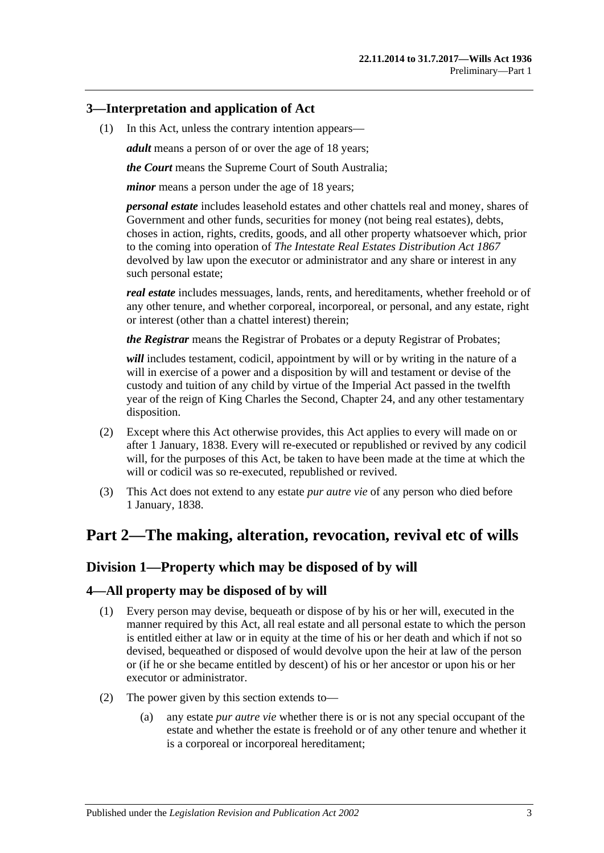## <span id="page-2-0"></span>**3—Interpretation and application of Act**

(1) In this Act, unless the contrary intention appears—

*adult* means a person of or over the age of 18 years;

*the Court* means the Supreme Court of South Australia;

*minor* means a person under the age of 18 years;

*personal estate* includes leasehold estates and other chattels real and money, shares of Government and other funds, securities for money (not being real estates), debts, choses in action, rights, credits, goods, and all other property whatsoever which, prior to the coming into operation of *[The Intestate Real Estates Distribution Act](http://www.legislation.sa.gov.au/index.aspx?action=legref&type=act&legtitle=The%20Intestate%20Real%20Estates%20Distribution%20Act%201867) 1867* devolved by law upon the executor or administrator and any share or interest in any such personal estate;

*real estate* includes messuages, lands, rents, and hereditaments, whether freehold or of any other tenure, and whether corporeal, incorporeal, or personal, and any estate, right or interest (other than a chattel interest) therein;

*the Registrar* means the Registrar of Probates or a deputy Registrar of Probates;

*will* includes testament, codicil, appointment by will or by writing in the nature of a will in exercise of a power and a disposition by will and testament or devise of the custody and tuition of any child by virtue of the Imperial Act passed in the twelfth year of the reign of King Charles the Second, Chapter 24, and any other testamentary disposition.

- (2) Except where this Act otherwise provides, this Act applies to every will made on or after 1 January, 1838. Every will re-executed or republished or revived by any codicil will, for the purposes of this Act, be taken to have been made at the time at which the will or codicil was so re-executed, republished or revived.
- (3) This Act does not extend to any estate *pur autre vie* of any person who died before 1 January, 1838.

# <span id="page-2-1"></span>**Part 2—The making, alteration, revocation, revival etc of wills**

## <span id="page-2-2"></span>**Division 1—Property which may be disposed of by will**

## <span id="page-2-3"></span>**4—All property may be disposed of by will**

- (1) Every person may devise, bequeath or dispose of by his or her will, executed in the manner required by this Act, all real estate and all personal estate to which the person is entitled either at law or in equity at the time of his or her death and which if not so devised, bequeathed or disposed of would devolve upon the heir at law of the person or (if he or she became entitled by descent) of his or her ancestor or upon his or her executor or administrator.
- (2) The power given by this section extends to—
	- (a) any estate *pur autre vie* whether there is or is not any special occupant of the estate and whether the estate is freehold or of any other tenure and whether it is a corporeal or incorporeal hereditament;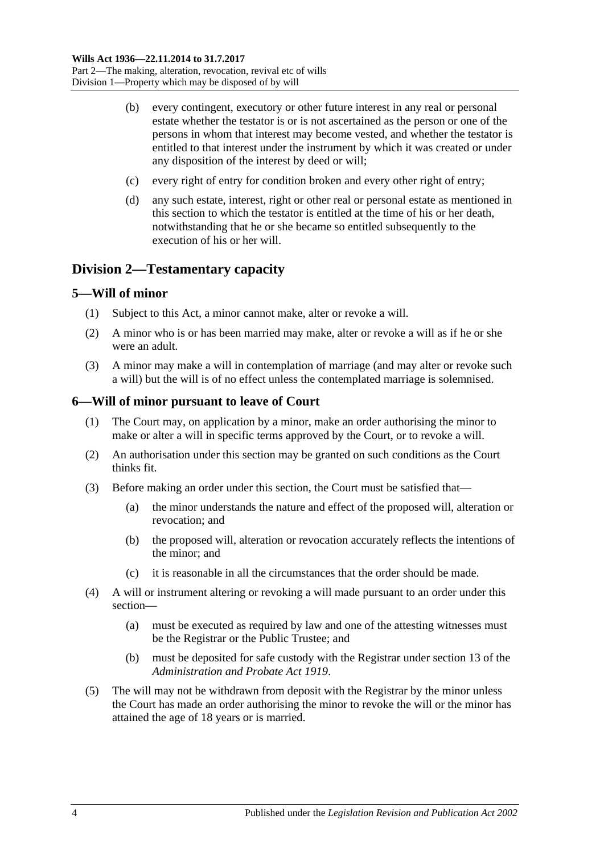- (b) every contingent, executory or other future interest in any real or personal estate whether the testator is or is not ascertained as the person or one of the persons in whom that interest may become vested, and whether the testator is entitled to that interest under the instrument by which it was created or under any disposition of the interest by deed or will;
- (c) every right of entry for condition broken and every other right of entry;
- (d) any such estate, interest, right or other real or personal estate as mentioned in this section to which the testator is entitled at the time of his or her death, notwithstanding that he or she became so entitled subsequently to the execution of his or her will.

## <span id="page-3-0"></span>**Division 2—Testamentary capacity**

#### <span id="page-3-1"></span>**5—Will of minor**

- (1) Subject to this Act, a minor cannot make, alter or revoke a will.
- (2) A minor who is or has been married may make, alter or revoke a will as if he or she were an adult.
- (3) A minor may make a will in contemplation of marriage (and may alter or revoke such a will) but the will is of no effect unless the contemplated marriage is solemnised.

#### <span id="page-3-2"></span>**6—Will of minor pursuant to leave of Court**

- (1) The Court may, on application by a minor, make an order authorising the minor to make or alter a will in specific terms approved by the Court, or to revoke a will.
- (2) An authorisation under this section may be granted on such conditions as the Court thinks fit.
- (3) Before making an order under this section, the Court must be satisfied that—
	- (a) the minor understands the nature and effect of the proposed will, alteration or revocation; and
	- (b) the proposed will, alteration or revocation accurately reflects the intentions of the minor; and
	- (c) it is reasonable in all the circumstances that the order should be made.
- (4) A will or instrument altering or revoking a will made pursuant to an order under this section—
	- (a) must be executed as required by law and one of the attesting witnesses must be the Registrar or the Public Trustee; and
	- (b) must be deposited for safe custody with the Registrar under section 13 of the *[Administration and Probate Act](http://www.legislation.sa.gov.au/index.aspx?action=legref&type=act&legtitle=Administration%20and%20Probate%20Act%201919) 1919*.
- (5) The will may not be withdrawn from deposit with the Registrar by the minor unless the Court has made an order authorising the minor to revoke the will or the minor has attained the age of 18 years or is married.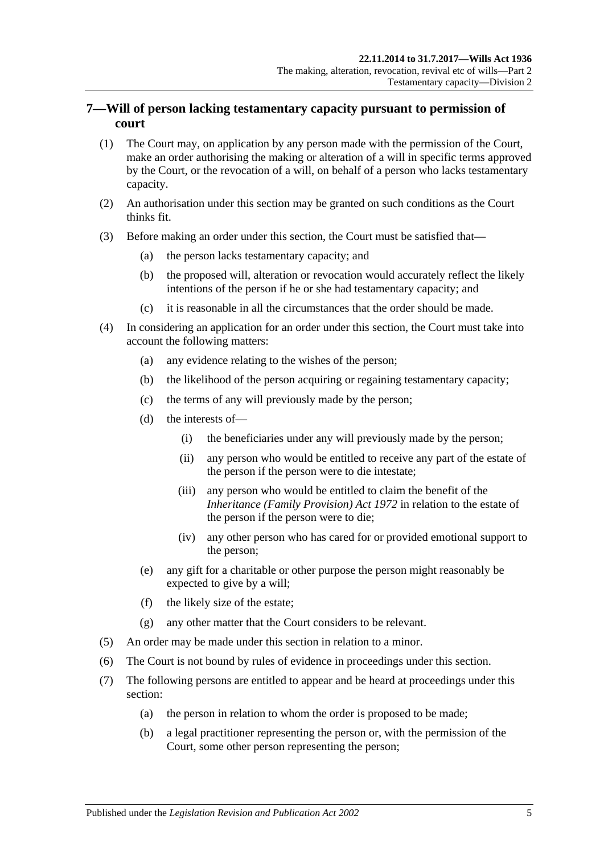## <span id="page-4-0"></span>**7—Will of person lacking testamentary capacity pursuant to permission of court**

- (1) The Court may, on application by any person made with the permission of the Court, make an order authorising the making or alteration of a will in specific terms approved by the Court, or the revocation of a will, on behalf of a person who lacks testamentary capacity.
- (2) An authorisation under this section may be granted on such conditions as the Court thinks fit.
- (3) Before making an order under this section, the Court must be satisfied that—
	- (a) the person lacks testamentary capacity; and
	- (b) the proposed will, alteration or revocation would accurately reflect the likely intentions of the person if he or she had testamentary capacity; and
	- (c) it is reasonable in all the circumstances that the order should be made.
- (4) In considering an application for an order under this section, the Court must take into account the following matters:
	- (a) any evidence relating to the wishes of the person;
	- (b) the likelihood of the person acquiring or regaining testamentary capacity;
	- (c) the terms of any will previously made by the person;
	- (d) the interests of—
		- (i) the beneficiaries under any will previously made by the person;
		- (ii) any person who would be entitled to receive any part of the estate of the person if the person were to die intestate;
		- (iii) any person who would be entitled to claim the benefit of the *[Inheritance \(Family Provision\) Act](http://www.legislation.sa.gov.au/index.aspx?action=legref&type=act&legtitle=Inheritance%20(Family%20Provision)%20Act%201972) 1972* in relation to the estate of the person if the person were to die;
		- (iv) any other person who has cared for or provided emotional support to the person;
	- (e) any gift for a charitable or other purpose the person might reasonably be expected to give by a will;
	- (f) the likely size of the estate;
	- (g) any other matter that the Court considers to be relevant.
- (5) An order may be made under this section in relation to a minor.
- (6) The Court is not bound by rules of evidence in proceedings under this section.
- (7) The following persons are entitled to appear and be heard at proceedings under this section:
	- (a) the person in relation to whom the order is proposed to be made;
	- (b) a legal practitioner representing the person or, with the permission of the Court, some other person representing the person;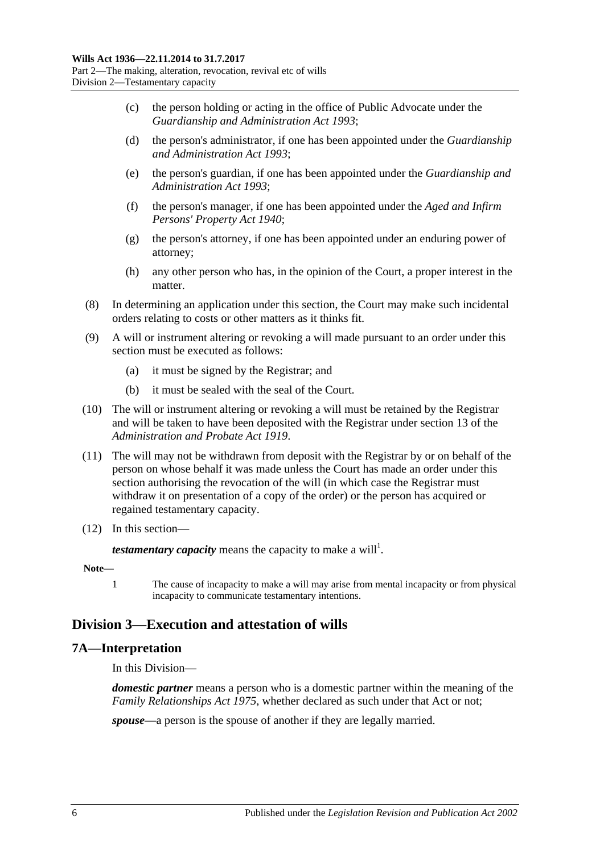- (c) the person holding or acting in the office of Public Advocate under the *[Guardianship and Administration Act](http://www.legislation.sa.gov.au/index.aspx?action=legref&type=act&legtitle=Guardianship%20and%20Administration%20Act%201993) 1993*;
- (d) the person's administrator, if one has been appointed under the *[Guardianship](http://www.legislation.sa.gov.au/index.aspx?action=legref&type=act&legtitle=Guardianship%20and%20Administration%20Act%201993)  [and Administration Act](http://www.legislation.sa.gov.au/index.aspx?action=legref&type=act&legtitle=Guardianship%20and%20Administration%20Act%201993) 1993*;
- (e) the person's guardian, if one has been appointed under the *[Guardianship and](http://www.legislation.sa.gov.au/index.aspx?action=legref&type=act&legtitle=Guardianship%20and%20Administration%20Act%201993)  [Administration Act](http://www.legislation.sa.gov.au/index.aspx?action=legref&type=act&legtitle=Guardianship%20and%20Administration%20Act%201993) 1993*;
- (f) the person's manager, if one has been appointed under the *[Aged and Infirm](http://www.legislation.sa.gov.au/index.aspx?action=legref&type=act&legtitle=Aged%20and%20Infirm%20Persons%20Property%20Act%201940)  [Persons' Property Act](http://www.legislation.sa.gov.au/index.aspx?action=legref&type=act&legtitle=Aged%20and%20Infirm%20Persons%20Property%20Act%201940) 1940*;
- (g) the person's attorney, if one has been appointed under an enduring power of attorney;
- (h) any other person who has, in the opinion of the Court, a proper interest in the matter.
- (8) In determining an application under this section, the Court may make such incidental orders relating to costs or other matters as it thinks fit.
- (9) A will or instrument altering or revoking a will made pursuant to an order under this section must be executed as follows:
	- (a) it must be signed by the Registrar; and
	- (b) it must be sealed with the seal of the Court.
- (10) The will or instrument altering or revoking a will must be retained by the Registrar and will be taken to have been deposited with the Registrar under section 13 of the *[Administration and Probate Act](http://www.legislation.sa.gov.au/index.aspx?action=legref&type=act&legtitle=Administration%20and%20Probate%20Act%201919) 1919*.
- (11) The will may not be withdrawn from deposit with the Registrar by or on behalf of the person on whose behalf it was made unless the Court has made an order under this section authorising the revocation of the will (in which case the Registrar must withdraw it on presentation of a copy of the order) or the person has acquired or regained testamentary capacity.
- (12) In this section—

*testamentary capacity* means the capacity to make a will<sup>1</sup>.

- **Note—**
	- 1 The cause of incapacity to make a will may arise from mental incapacity or from physical incapacity to communicate testamentary intentions.

## <span id="page-5-0"></span>**Division 3—Execution and attestation of wills**

## <span id="page-5-1"></span>**7A—Interpretation**

In this Division—

*domestic partner* means a person who is a domestic partner within the meaning of the *[Family Relationships Act](http://www.legislation.sa.gov.au/index.aspx?action=legref&type=act&legtitle=Family%20Relationships%20Act%201975) 1975*, whether declared as such under that Act or not;

*spouse*—a person is the spouse of another if they are legally married.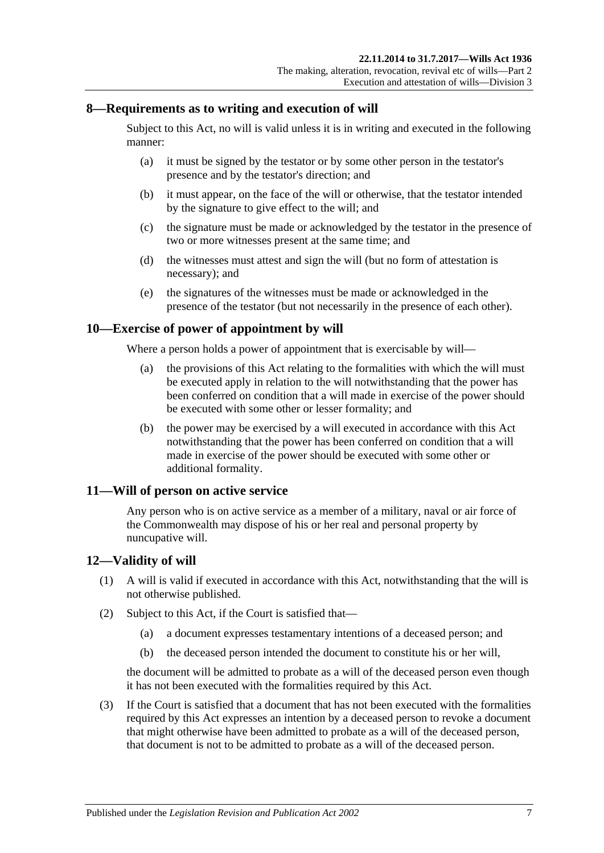## <span id="page-6-0"></span>**8—Requirements as to writing and execution of will**

Subject to this Act, no will is valid unless it is in writing and executed in the following manner:

- (a) it must be signed by the testator or by some other person in the testator's presence and by the testator's direction; and
- (b) it must appear, on the face of the will or otherwise, that the testator intended by the signature to give effect to the will; and
- (c) the signature must be made or acknowledged by the testator in the presence of two or more witnesses present at the same time; and
- (d) the witnesses must attest and sign the will (but no form of attestation is necessary); and
- (e) the signatures of the witnesses must be made or acknowledged in the presence of the testator (but not necessarily in the presence of each other).

## <span id="page-6-1"></span>**10—Exercise of power of appointment by will**

Where a person holds a power of appointment that is exercisable by will—

- (a) the provisions of this Act relating to the formalities with which the will must be executed apply in relation to the will notwithstanding that the power has been conferred on condition that a will made in exercise of the power should be executed with some other or lesser formality; and
- (b) the power may be exercised by a will executed in accordance with this Act notwithstanding that the power has been conferred on condition that a will made in exercise of the power should be executed with some other or additional formality.

## <span id="page-6-2"></span>**11—Will of person on active service**

Any person who is on active service as a member of a military, naval or air force of the Commonwealth may dispose of his or her real and personal property by nuncupative will.

## <span id="page-6-3"></span>**12—Validity of will**

- (1) A will is valid if executed in accordance with this Act, notwithstanding that the will is not otherwise published.
- (2) Subject to this Act, if the Court is satisfied that—
	- (a) a document expresses testamentary intentions of a deceased person; and
	- (b) the deceased person intended the document to constitute his or her will,

the document will be admitted to probate as a will of the deceased person even though it has not been executed with the formalities required by this Act.

<span id="page-6-4"></span>(3) If the Court is satisfied that a document that has not been executed with the formalities required by this Act expresses an intention by a deceased person to revoke a document that might otherwise have been admitted to probate as a will of the deceased person, that document is not to be admitted to probate as a will of the deceased person.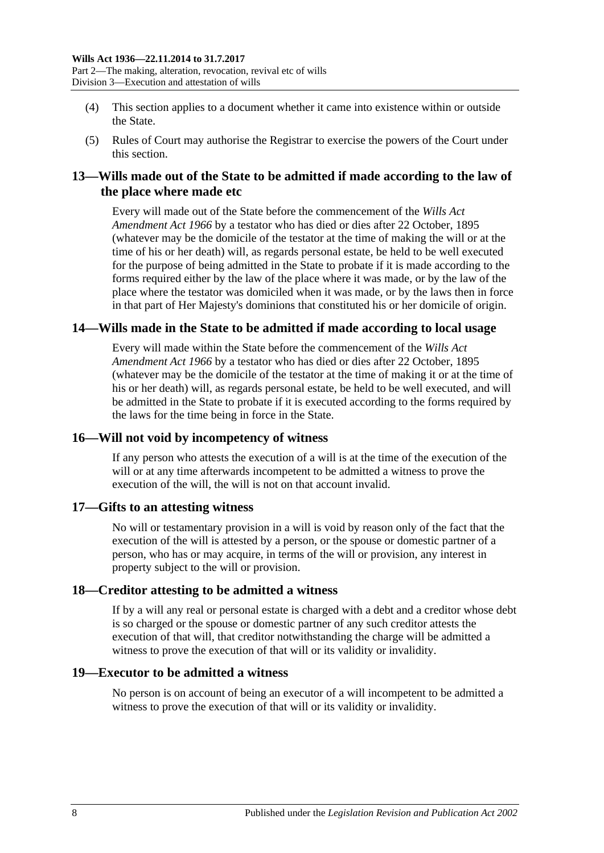- (4) This section applies to a document whether it came into existence within or outside the State.
- (5) Rules of Court may authorise the Registrar to exercise the powers of the Court under this section.

## <span id="page-7-0"></span>**13—Wills made out of the State to be admitted if made according to the law of the place where made etc**

Every will made out of the State before the commencement of the *[Wills Act](http://www.legislation.sa.gov.au/index.aspx?action=legref&type=act&legtitle=Wills%20Act%20Amendment%20Act%201966)  [Amendment Act](http://www.legislation.sa.gov.au/index.aspx?action=legref&type=act&legtitle=Wills%20Act%20Amendment%20Act%201966) 1966* by a testator who has died or dies after 22 October, 1895 (whatever may be the domicile of the testator at the time of making the will or at the time of his or her death) will, as regards personal estate, be held to be well executed for the purpose of being admitted in the State to probate if it is made according to the forms required either by the law of the place where it was made, or by the law of the place where the testator was domiciled when it was made, or by the laws then in force in that part of Her Majesty's dominions that constituted his or her domicile of origin.

## <span id="page-7-1"></span>**14—Wills made in the State to be admitted if made according to local usage**

Every will made within the State before the commencement of the *[Wills Act](http://www.legislation.sa.gov.au/index.aspx?action=legref&type=act&legtitle=Wills%20Act%20Amendment%20Act%201966)  [Amendment Act](http://www.legislation.sa.gov.au/index.aspx?action=legref&type=act&legtitle=Wills%20Act%20Amendment%20Act%201966) 1966* by a testator who has died or dies after 22 October, 1895 (whatever may be the domicile of the testator at the time of making it or at the time of his or her death) will, as regards personal estate, be held to be well executed, and will be admitted in the State to probate if it is executed according to the forms required by the laws for the time being in force in the State.

## <span id="page-7-2"></span>**16—Will not void by incompetency of witness**

If any person who attests the execution of a will is at the time of the execution of the will or at any time afterwards incompetent to be admitted a witness to prove the execution of the will, the will is not on that account invalid.

#### <span id="page-7-3"></span>**17—Gifts to an attesting witness**

No will or testamentary provision in a will is void by reason only of the fact that the execution of the will is attested by a person, or the spouse or domestic partner of a person, who has or may acquire, in terms of the will or provision, any interest in property subject to the will or provision.

## <span id="page-7-4"></span>**18—Creditor attesting to be admitted a witness**

If by a will any real or personal estate is charged with a debt and a creditor whose debt is so charged or the spouse or domestic partner of any such creditor attests the execution of that will, that creditor notwithstanding the charge will be admitted a witness to prove the execution of that will or its validity or invalidity.

#### <span id="page-7-5"></span>**19—Executor to be admitted a witness**

No person is on account of being an executor of a will incompetent to be admitted a witness to prove the execution of that will or its validity or invalidity.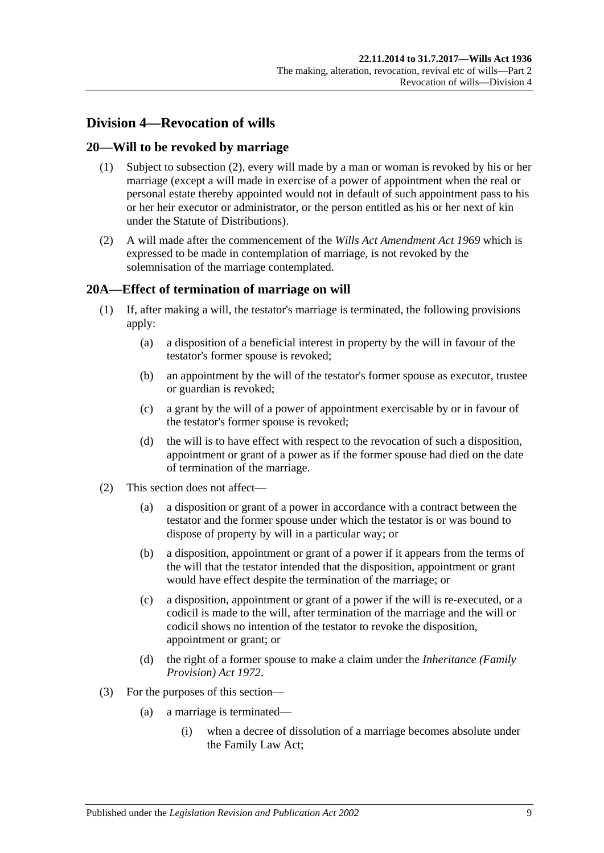## <span id="page-8-0"></span>**Division 4—Revocation of wills**

### <span id="page-8-1"></span>**20—Will to be revoked by marriage**

- (1) Subject to [subsection](#page-8-3) (2), every will made by a man or woman is revoked by his or her marriage (except a will made in exercise of a power of appointment when the real or personal estate thereby appointed would not in default of such appointment pass to his or her heir executor or administrator, or the person entitled as his or her next of kin under the Statute of Distributions).
- <span id="page-8-3"></span>(2) A will made after the commencement of the *[Wills Act Amendment Act](http://www.legislation.sa.gov.au/index.aspx?action=legref&type=act&legtitle=Wills%20Act%20Amendment%20Act%201969) 1969* which is expressed to be made in contemplation of marriage, is not revoked by the solemnisation of the marriage contemplated.

## <span id="page-8-2"></span>**20A—Effect of termination of marriage on will**

- (1) If, after making a will, the testator's marriage is terminated, the following provisions apply:
	- (a) a disposition of a beneficial interest in property by the will in favour of the testator's former spouse is revoked;
	- (b) an appointment by the will of the testator's former spouse as executor, trustee or guardian is revoked;
	- (c) a grant by the will of a power of appointment exercisable by or in favour of the testator's former spouse is revoked;
	- (d) the will is to have effect with respect to the revocation of such a disposition, appointment or grant of a power as if the former spouse had died on the date of termination of the marriage.
- (2) This section does not affect—
	- (a) a disposition or grant of a power in accordance with a contract between the testator and the former spouse under which the testator is or was bound to dispose of property by will in a particular way; or
	- (b) a disposition, appointment or grant of a power if it appears from the terms of the will that the testator intended that the disposition, appointment or grant would have effect despite the termination of the marriage; or
	- (c) a disposition, appointment or grant of a power if the will is re-executed, or a codicil is made to the will, after termination of the marriage and the will or codicil shows no intention of the testator to revoke the disposition, appointment or grant; or
	- (d) the right of a former spouse to make a claim under the *[Inheritance \(Family](http://www.legislation.sa.gov.au/index.aspx?action=legref&type=act&legtitle=Inheritance%20(Family%20Provision)%20Act%201972)  [Provision\) Act](http://www.legislation.sa.gov.au/index.aspx?action=legref&type=act&legtitle=Inheritance%20(Family%20Provision)%20Act%201972) 1972*.
- (3) For the purposes of this section—
	- (a) a marriage is terminated—
		- (i) when a decree of dissolution of a marriage becomes absolute under the Family Law Act;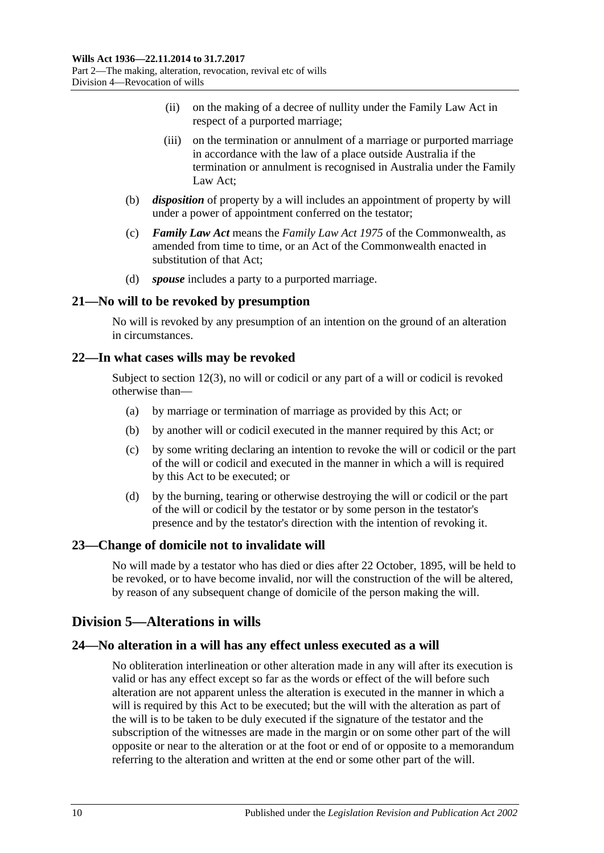- (ii) on the making of a decree of nullity under the Family Law Act in respect of a purported marriage;
- (iii) on the termination or annulment of a marriage or purported marriage in accordance with the law of a place outside Australia if the termination or annulment is recognised in Australia under the Family Law Act;
- (b) *disposition* of property by a will includes an appointment of property by will under a power of appointment conferred on the testator;
- (c) *Family Law Act* means the *Family Law Act 1975* of the Commonwealth, as amended from time to time, or an Act of the Commonwealth enacted in substitution of that Act;
- (d) *spouse* includes a party to a purported marriage.

#### <span id="page-9-0"></span>**21—No will to be revoked by presumption**

No will is revoked by any presumption of an intention on the ground of an alteration in circumstances.

#### <span id="page-9-1"></span>**22—In what cases wills may be revoked**

Subject to [section](#page-6-4) 12(3), no will or codicil or any part of a will or codicil is revoked otherwise than—

- (a) by marriage or termination of marriage as provided by this Act; or
- (b) by another will or codicil executed in the manner required by this Act; or
- (c) by some writing declaring an intention to revoke the will or codicil or the part of the will or codicil and executed in the manner in which a will is required by this Act to be executed; or
- (d) by the burning, tearing or otherwise destroying the will or codicil or the part of the will or codicil by the testator or by some person in the testator's presence and by the testator's direction with the intention of revoking it.

## <span id="page-9-2"></span>**23—Change of domicile not to invalidate will**

No will made by a testator who has died or dies after 22 October, 1895, will be held to be revoked, or to have become invalid, nor will the construction of the will be altered, by reason of any subsequent change of domicile of the person making the will.

## <span id="page-9-3"></span>**Division 5—Alterations in wills**

## <span id="page-9-4"></span>**24—No alteration in a will has any effect unless executed as a will**

No obliteration interlineation or other alteration made in any will after its execution is valid or has any effect except so far as the words or effect of the will before such alteration are not apparent unless the alteration is executed in the manner in which a will is required by this Act to be executed; but the will with the alteration as part of the will is to be taken to be duly executed if the signature of the testator and the subscription of the witnesses are made in the margin or on some other part of the will opposite or near to the alteration or at the foot or end of or opposite to a memorandum referring to the alteration and written at the end or some other part of the will.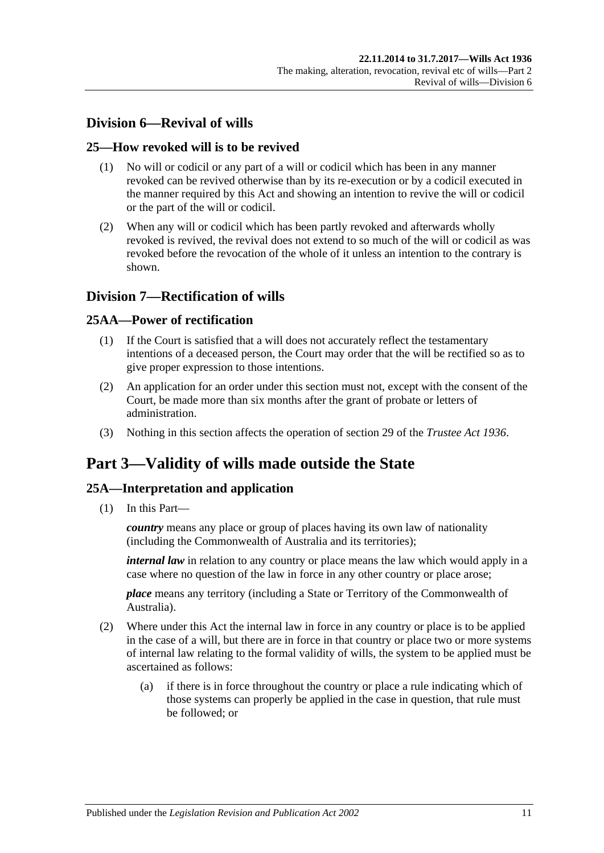## <span id="page-10-0"></span>**Division 6—Revival of wills**

## <span id="page-10-1"></span>**25—How revoked will is to be revived**

- (1) No will or codicil or any part of a will or codicil which has been in any manner revoked can be revived otherwise than by its re-execution or by a codicil executed in the manner required by this Act and showing an intention to revive the will or codicil or the part of the will or codicil.
- (2) When any will or codicil which has been partly revoked and afterwards wholly revoked is revived, the revival does not extend to so much of the will or codicil as was revoked before the revocation of the whole of it unless an intention to the contrary is shown.

## <span id="page-10-2"></span>**Division 7—Rectification of wills**

## <span id="page-10-3"></span>**25AA—Power of rectification**

- (1) If the Court is satisfied that a will does not accurately reflect the testamentary intentions of a deceased person, the Court may order that the will be rectified so as to give proper expression to those intentions.
- (2) An application for an order under this section must not, except with the consent of the Court, be made more than six months after the grant of probate or letters of administration.
- (3) Nothing in this section affects the operation of section 29 of the *[Trustee Act](http://www.legislation.sa.gov.au/index.aspx?action=legref&type=act&legtitle=Trustee%20Act%201936) 1936*.

# <span id="page-10-4"></span>**Part 3—Validity of wills made outside the State**

## <span id="page-10-5"></span>**25A—Interpretation and application**

(1) In this Part—

*country* means any place or group of places having its own law of nationality (including the Commonwealth of Australia and its territories);

*internal law* in relation to any country or place means the law which would apply in a case where no question of the law in force in any other country or place arose;

*place* means any territory (including a State or Territory of the Commonwealth of Australia).

- (2) Where under this Act the internal law in force in any country or place is to be applied in the case of a will, but there are in force in that country or place two or more systems of internal law relating to the formal validity of wills, the system to be applied must be ascertained as follows:
	- (a) if there is in force throughout the country or place a rule indicating which of those systems can properly be applied in the case in question, that rule must be followed; or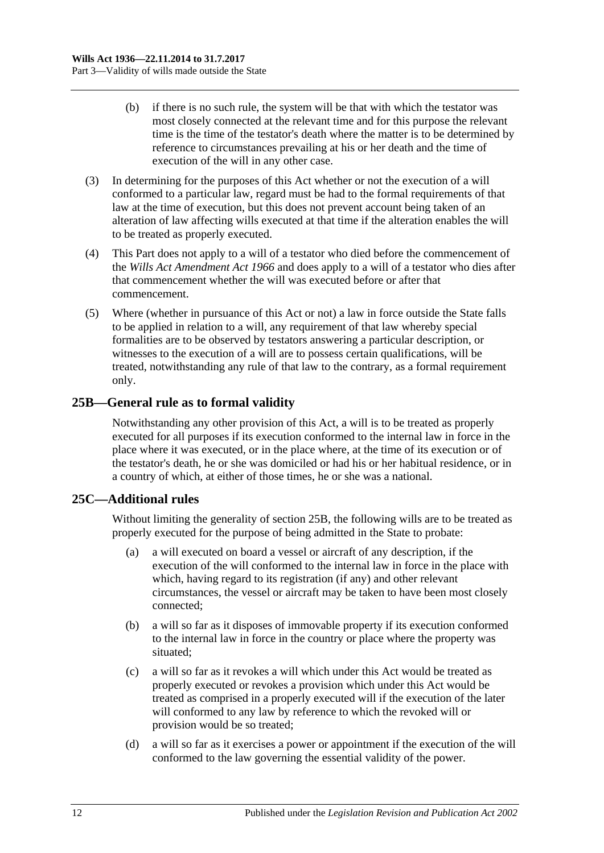- (b) if there is no such rule, the system will be that with which the testator was most closely connected at the relevant time and for this purpose the relevant time is the time of the testator's death where the matter is to be determined by reference to circumstances prevailing at his or her death and the time of execution of the will in any other case.
- (3) In determining for the purposes of this Act whether or not the execution of a will conformed to a particular law, regard must be had to the formal requirements of that law at the time of execution, but this does not prevent account being taken of an alteration of law affecting wills executed at that time if the alteration enables the will to be treated as properly executed.
- (4) This Part does not apply to a will of a testator who died before the commencement of the *[Wills Act Amendment Act](http://www.legislation.sa.gov.au/index.aspx?action=legref&type=act&legtitle=Wills%20Act%20Amendment%20Act%201966) 1966* and does apply to a will of a testator who dies after that commencement whether the will was executed before or after that commencement.
- (5) Where (whether in pursuance of this Act or not) a law in force outside the State falls to be applied in relation to a will, any requirement of that law whereby special formalities are to be observed by testators answering a particular description, or witnesses to the execution of a will are to possess certain qualifications, will be treated, notwithstanding any rule of that law to the contrary, as a formal requirement only.

## <span id="page-11-0"></span>**25B—General rule as to formal validity**

Notwithstanding any other provision of this Act, a will is to be treated as properly executed for all purposes if its execution conformed to the internal law in force in the place where it was executed, or in the place where, at the time of its execution or of the testator's death, he or she was domiciled or had his or her habitual residence, or in a country of which, at either of those times, he or she was a national.

## <span id="page-11-1"></span>**25C—Additional rules**

Without limiting the generality of [section](#page-11-0) 25B, the following wills are to be treated as properly executed for the purpose of being admitted in the State to probate:

- (a) a will executed on board a vessel or aircraft of any description, if the execution of the will conformed to the internal law in force in the place with which, having regard to its registration (if any) and other relevant circumstances, the vessel or aircraft may be taken to have been most closely connected;
- (b) a will so far as it disposes of immovable property if its execution conformed to the internal law in force in the country or place where the property was situated;
- (c) a will so far as it revokes a will which under this Act would be treated as properly executed or revokes a provision which under this Act would be treated as comprised in a properly executed will if the execution of the later will conformed to any law by reference to which the revoked will or provision would be so treated;
- (d) a will so far as it exercises a power or appointment if the execution of the will conformed to the law governing the essential validity of the power.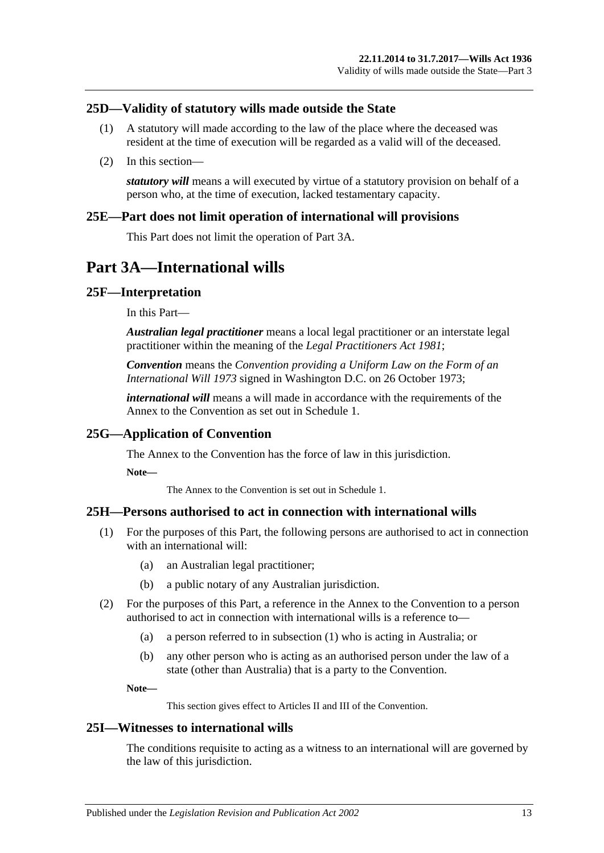## <span id="page-12-0"></span>**25D—Validity of statutory wills made outside the State**

- (1) A statutory will made according to the law of the place where the deceased was resident at the time of execution will be regarded as a valid will of the deceased.
- (2) In this section—

*statutory will* means a will executed by virtue of a statutory provision on behalf of a person who, at the time of execution, lacked testamentary capacity.

#### <span id="page-12-1"></span>**25E—Part does not limit operation of international will provisions**

This Part does not limit the operation of [Part 3A.](#page-12-2)

# <span id="page-12-2"></span>**Part 3A—International wills**

#### <span id="page-12-3"></span>**25F—Interpretation**

In this Part—

*Australian legal practitioner* means a local legal practitioner or an interstate legal practitioner within the meaning of the *[Legal Practitioners Act](http://www.legislation.sa.gov.au/index.aspx?action=legref&type=act&legtitle=Legal%20Practitioners%20Act%201981) 1981*;

*Convention* means the *Convention providing a Uniform Law on the Form of an International Will 1973* signed in Washington D.C. on 26 October 1973;

*international will* means a will made in accordance with the requirements of the Annex to the Convention as set out in Schedule 1.

## <span id="page-12-4"></span>**25G—Application of Convention**

The Annex to the Convention has the force of law in this jurisdiction.

**Note—**

The Annex to the Convention is set out in Schedule 1.

#### <span id="page-12-7"></span><span id="page-12-5"></span>**25H—Persons authorised to act in connection with international wills**

- (1) For the purposes of this Part, the following persons are authorised to act in connection with an international will:
	- (a) an Australian legal practitioner;
	- (b) a public notary of any Australian jurisdiction.
- (2) For the purposes of this Part, a reference in the Annex to the Convention to a person authorised to act in connection with international wills is a reference to—
	- (a) a person referred to in [subsection](#page-12-7) (1) who is acting in Australia; or
	- (b) any other person who is acting as an authorised person under the law of a state (other than Australia) that is a party to the Convention.

**Note—**

This section gives effect to Articles II and III of the Convention.

#### <span id="page-12-6"></span>**25I—Witnesses to international wills**

The conditions requisite to acting as a witness to an international will are governed by the law of this jurisdiction.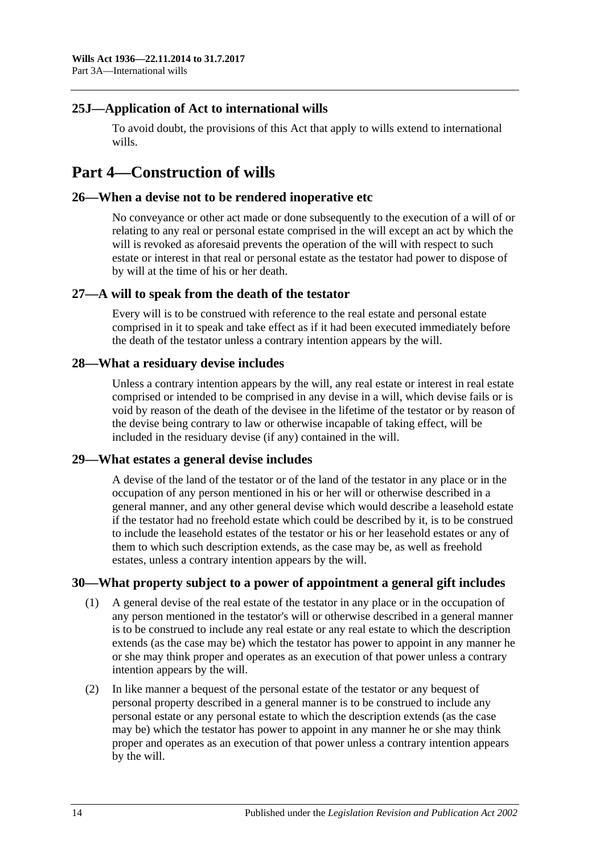## <span id="page-13-0"></span>**25J—Application of Act to international wills**

To avoid doubt, the provisions of this Act that apply to wills extend to international wills.

# <span id="page-13-1"></span>**Part 4—Construction of wills**

#### <span id="page-13-2"></span>**26—When a devise not to be rendered inoperative etc**

No conveyance or other act made or done subsequently to the execution of a will of or relating to any real or personal estate comprised in the will except an act by which the will is revoked as aforesaid prevents the operation of the will with respect to such estate or interest in that real or personal estate as the testator had power to dispose of by will at the time of his or her death.

#### <span id="page-13-3"></span>**27—A will to speak from the death of the testator**

Every will is to be construed with reference to the real estate and personal estate comprised in it to speak and take effect as if it had been executed immediately before the death of the testator unless a contrary intention appears by the will.

#### <span id="page-13-4"></span>**28—What a residuary devise includes**

Unless a contrary intention appears by the will, any real estate or interest in real estate comprised or intended to be comprised in any devise in a will, which devise fails or is void by reason of the death of the devisee in the lifetime of the testator or by reason of the devise being contrary to law or otherwise incapable of taking effect, will be included in the residuary devise (if any) contained in the will.

#### <span id="page-13-5"></span>**29—What estates a general devise includes**

A devise of the land of the testator or of the land of the testator in any place or in the occupation of any person mentioned in his or her will or otherwise described in a general manner, and any other general devise which would describe a leasehold estate if the testator had no freehold estate which could be described by it, is to be construed to include the leasehold estates of the testator or his or her leasehold estates or any of them to which such description extends, as the case may be, as well as freehold estates, unless a contrary intention appears by the will.

## <span id="page-13-6"></span>**30—What property subject to a power of appointment a general gift includes**

- (1) A general devise of the real estate of the testator in any place or in the occupation of any person mentioned in the testator's will or otherwise described in a general manner is to be construed to include any real estate or any real estate to which the description extends (as the case may be) which the testator has power to appoint in any manner he or she may think proper and operates as an execution of that power unless a contrary intention appears by the will.
- (2) In like manner a bequest of the personal estate of the testator or any bequest of personal property described in a general manner is to be construed to include any personal estate or any personal estate to which the description extends (as the case may be) which the testator has power to appoint in any manner he or she may think proper and operates as an execution of that power unless a contrary intention appears by the will.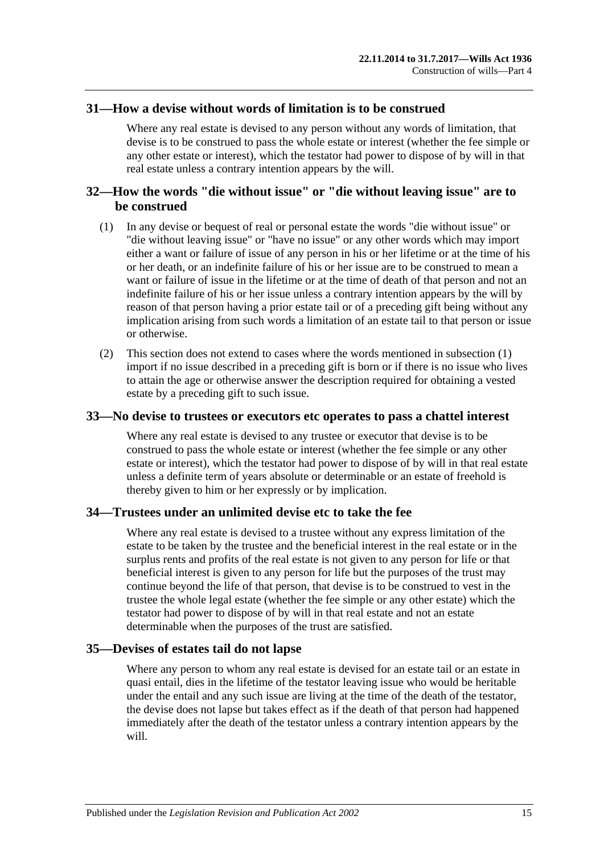#### <span id="page-14-0"></span>**31—How a devise without words of limitation is to be construed**

Where any real estate is devised to any person without any words of limitation, that devise is to be construed to pass the whole estate or interest (whether the fee simple or any other estate or interest), which the testator had power to dispose of by will in that real estate unless a contrary intention appears by the will.

## <span id="page-14-1"></span>**32—How the words "die without issue" or "die without leaving issue" are to be construed**

- <span id="page-14-5"></span>(1) In any devise or bequest of real or personal estate the words "die without issue" or "die without leaving issue" or "have no issue" or any other words which may import either a want or failure of issue of any person in his or her lifetime or at the time of his or her death, or an indefinite failure of his or her issue are to be construed to mean a want or failure of issue in the lifetime or at the time of death of that person and not an indefinite failure of his or her issue unless a contrary intention appears by the will by reason of that person having a prior estate tail or of a preceding gift being without any implication arising from such words a limitation of an estate tail to that person or issue or otherwise.
- (2) This section does not extend to cases where the words mentioned in [subsection](#page-14-5) (1) import if no issue described in a preceding gift is born or if there is no issue who lives to attain the age or otherwise answer the description required for obtaining a vested estate by a preceding gift to such issue.

#### <span id="page-14-2"></span>**33—No devise to trustees or executors etc operates to pass a chattel interest**

Where any real estate is devised to any trustee or executor that devise is to be construed to pass the whole estate or interest (whether the fee simple or any other estate or interest), which the testator had power to dispose of by will in that real estate unless a definite term of years absolute or determinable or an estate of freehold is thereby given to him or her expressly or by implication.

#### <span id="page-14-3"></span>**34—Trustees under an unlimited devise etc to take the fee**

Where any real estate is devised to a trustee without any express limitation of the estate to be taken by the trustee and the beneficial interest in the real estate or in the surplus rents and profits of the real estate is not given to any person for life or that beneficial interest is given to any person for life but the purposes of the trust may continue beyond the life of that person, that devise is to be construed to vest in the trustee the whole legal estate (whether the fee simple or any other estate) which the testator had power to dispose of by will in that real estate and not an estate determinable when the purposes of the trust are satisfied.

#### <span id="page-14-4"></span>**35—Devises of estates tail do not lapse**

Where any person to whom any real estate is devised for an estate tail or an estate in quasi entail, dies in the lifetime of the testator leaving issue who would be heritable under the entail and any such issue are living at the time of the death of the testator, the devise does not lapse but takes effect as if the death of that person had happened immediately after the death of the testator unless a contrary intention appears by the will.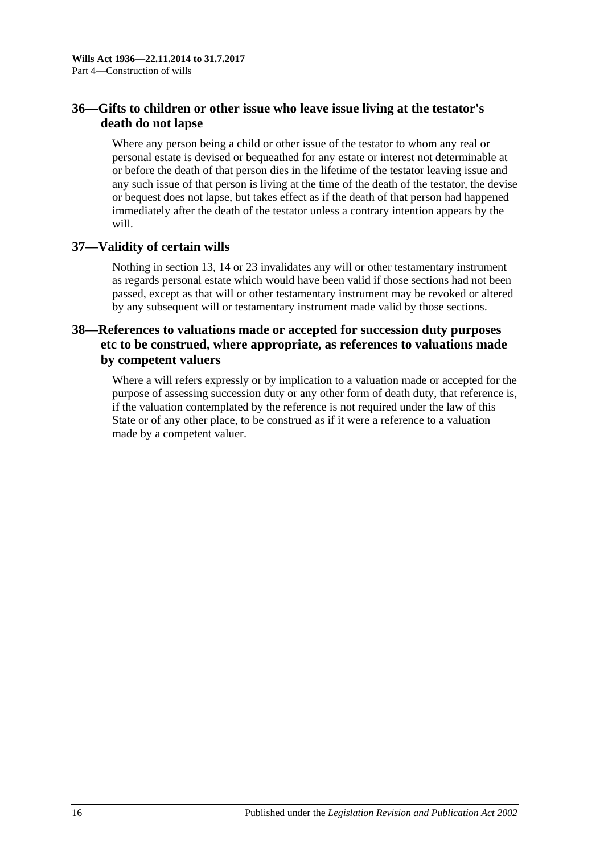## <span id="page-15-0"></span>**36—Gifts to children or other issue who leave issue living at the testator's death do not lapse**

Where any person being a child or other issue of the testator to whom any real or personal estate is devised or bequeathed for any estate or interest not determinable at or before the death of that person dies in the lifetime of the testator leaving issue and any such issue of that person is living at the time of the death of the testator, the devise or bequest does not lapse, but takes effect as if the death of that person had happened immediately after the death of the testator unless a contrary intention appears by the will.

## <span id="page-15-1"></span>**37—Validity of certain wills**

Nothing in [section](#page-7-0) 13, [14](#page-7-1) or [23](#page-9-2) invalidates any will or other testamentary instrument as regards personal estate which would have been valid if those sections had not been passed, except as that will or other testamentary instrument may be revoked or altered by any subsequent will or testamentary instrument made valid by those sections.

## <span id="page-15-2"></span>**38—References to valuations made or accepted for succession duty purposes etc to be construed, where appropriate, as references to valuations made by competent valuers**

<span id="page-15-3"></span>Where a will refers expressly or by implication to a valuation made or accepted for the purpose of assessing succession duty or any other form of death duty, that reference is, if the valuation contemplated by the reference is not required under the law of this State or of any other place, to be construed as if it were a reference to a valuation made by a competent valuer.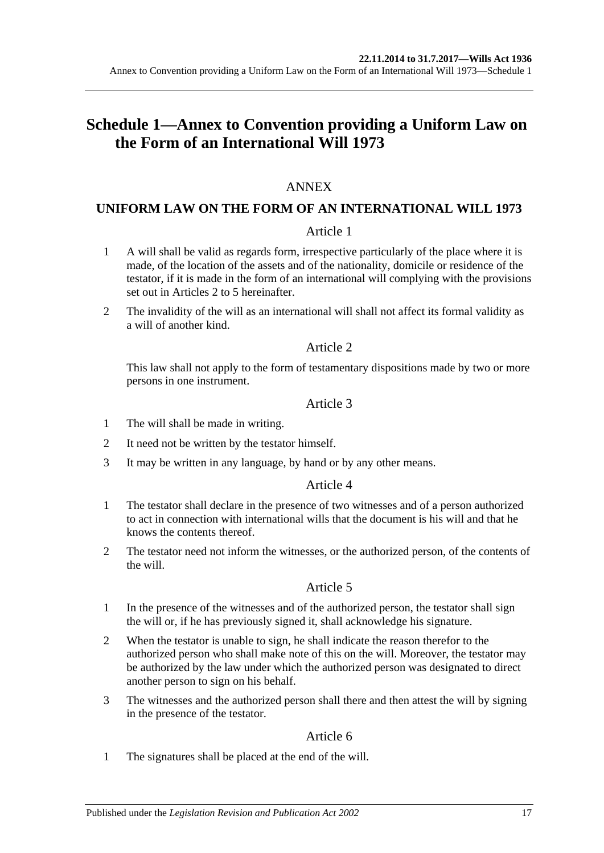# **Schedule 1—Annex to Convention providing a Uniform Law on the Form of an International Will 1973**

## ANNEX

## **UNIFORM LAW ON THE FORM OF AN INTERNATIONAL WILL 1973**

#### Article 1

- 1 A will shall be valid as regards form, irrespective particularly of the place where it is made, of the location of the assets and of the nationality, domicile or residence of the testator, if it is made in the form of an international will complying with the provisions set out in Articles 2 to 5 hereinafter.
- 2 The invalidity of the will as an international will shall not affect its formal validity as a will of another kind.

#### Article 2

This law shall not apply to the form of testamentary dispositions made by two or more persons in one instrument.

#### Article 3

- 1 The will shall be made in writing.
- 2 It need not be written by the testator himself.
- 3 It may be written in any language, by hand or by any other means.

## Article 4

- 1 The testator shall declare in the presence of two witnesses and of a person authorized to act in connection with international wills that the document is his will and that he knows the contents thereof.
- 2 The testator need not inform the witnesses, or the authorized person, of the contents of the will.

#### Article 5

- 1 In the presence of the witnesses and of the authorized person, the testator shall sign the will or, if he has previously signed it, shall acknowledge his signature.
- 2 When the testator is unable to sign, he shall indicate the reason therefor to the authorized person who shall make note of this on the will. Moreover, the testator may be authorized by the law under which the authorized person was designated to direct another person to sign on his behalf.
- 3 The witnesses and the authorized person shall there and then attest the will by signing in the presence of the testator.

## Article 6

1 The signatures shall be placed at the end of the will.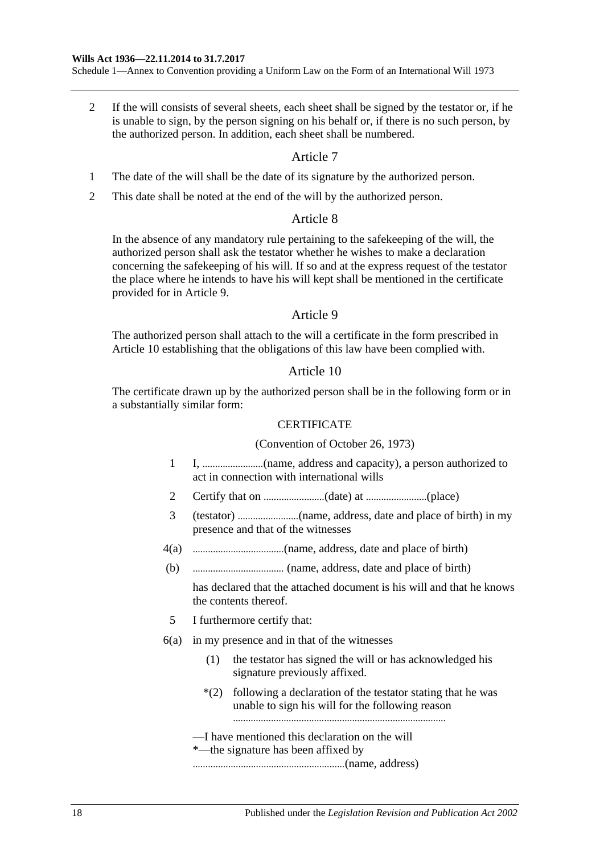Schedule 1—Annex to Convention providing a Uniform Law on the Form of an International Will 1973

2 If the will consists of several sheets, each sheet shall be signed by the testator or, if he is unable to sign, by the person signing on his behalf or, if there is no such person, by the authorized person. In addition, each sheet shall be numbered.

#### Article 7

- 1 The date of the will shall be the date of its signature by the authorized person.
- 2 This date shall be noted at the end of the will by the authorized person.

#### Article 8

In the absence of any mandatory rule pertaining to the safekeeping of the will, the authorized person shall ask the testator whether he wishes to make a declaration concerning the safekeeping of his will. If so and at the express request of the testator the place where he intends to have his will kept shall be mentioned in the certificate provided for in Article 9.

#### Article 9

The authorized person shall attach to the will a certificate in the form prescribed in Article 10 establishing that the obligations of this law have been complied with.

#### Article 10

The certificate drawn up by the authorized person shall be in the following form or in a substantially similar form:

#### **CERTIFICATE**

#### (Convention of October 26, 1973)

- 1 I, ........................(name, address and capacity), a person authorized to act in connection with international wills
- 2 Certify that on ........................(date) at ........................(place)
- 3 (testator) ........................(name, address, date and place of birth) in my presence and that of the witnesses
- 4(a) ....................................(name, address, date and place of birth)
- (b) .................................... (name, address, date and place of birth)

has declared that the attached document is his will and that he knows the contents thereof.

- 5 I furthermore certify that:
- 6(a) in my presence and in that of the witnesses
	- (1) the testator has signed the will or has acknowledged his signature previously affixed.
	- \*(2) following a declaration of the testator stating that he was unable to sign his will for the following reason
	- —I have mentioned this declaration on the will
	- \*—the signature has been affixed by

............................................................(name, address)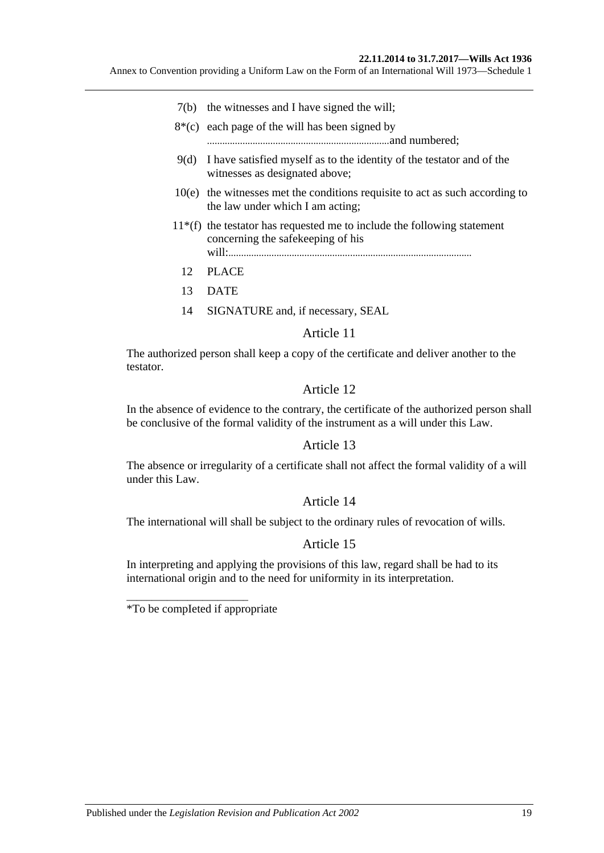Annex to Convention providing a Uniform Law on the Form of an International Will 1973—Schedule 1

- 7(b) the witnesses and I have signed the will;
- $8*(c)$  each page of the will has been signed by
	- ........................................................................and numbered;
- 9(d) I have satisfied myself as to the identity of the testator and of the witnesses as designated above;
- 10(e) the witnesses met the conditions requisite to act as such according to the law under which I am acting;
- $11*(f)$  the testator has requested me to include the following statement concerning the safekeeping of his will:................................................................................................
	- 12 PLACE
	- 13 DATE
	- 14 SIGNATURE and, if necessary, SEAL

#### Article 11

The authorized person shall keep a copy of the certificate and deliver another to the testator.

#### Article 12

In the absence of evidence to the contrary, the certificate of the authorized person shall be conclusive of the formal validity of the instrument as a will under this Law.

#### Article 13

The absence or irregularity of a certificate shall not affect the formal validity of a will under this Law.

#### Article 14

The international will shall be subject to the ordinary rules of revocation of wills.

#### Article 15

In interpreting and applying the provisions of this law, regard shall be had to its international origin and to the need for uniformity in its interpretation.

\*To be compIeted if appropriate

\_\_\_\_\_\_\_\_\_\_\_\_\_\_\_\_\_\_\_\_\_\_\_\_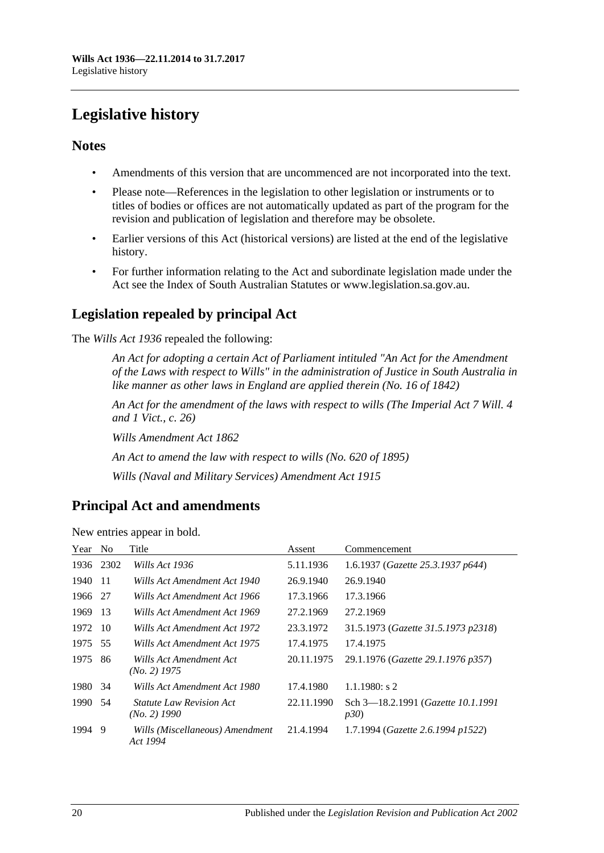# <span id="page-19-0"></span>**Legislative history**

## **Notes**

- Amendments of this version that are uncommenced are not incorporated into the text.
- Please note—References in the legislation to other legislation or instruments or to titles of bodies or offices are not automatically updated as part of the program for the revision and publication of legislation and therefore may be obsolete.
- Earlier versions of this Act (historical versions) are listed at the end of the legislative history.
- For further information relating to the Act and subordinate legislation made under the Act see the Index of South Australian Statutes or www.legislation.sa.gov.au.

# **Legislation repealed by principal Act**

The *Wills Act 1936* repealed the following:

*An Act for adopting a certain Act of Parliament intituled "An Act for the Amendment of the Laws with respect to Wills" in the administration of Justice in South Australia in like manner as other laws in England are applied therein (No. 16 of 1842)*

*An Act for the amendment of the laws with respect to wills (The Imperial Act 7 Will. 4 and 1 Vict., c. 26)*

*Wills Amendment Act 1862*

*An Act to amend the law with respect to wills (No. 620 of 1895)*

*Wills (Naval and Military Services) Amendment Act 1915*

# **Principal Act and amendments**

| Year | N <sub>o</sub> | Title                                             | Assent     | Commencement                               |
|------|----------------|---------------------------------------------------|------------|--------------------------------------------|
| 1936 | 2302           | Wills Act 1936                                    | 5.11.1936  | 1.6.1937 (Gazette 25.3.1937 p644)          |
| 1940 | -11            | Wills Act Amendment Act 1940                      | 26.9.1940  | 26.9.1940                                  |
| 1966 | -27            | Wills Act Amendment Act 1966                      | 17.3.1966  | 17.3.1966                                  |
| 1969 | -13            | Wills Act Amendment Act 1969                      | 27.2.1969  | 27.2.1969                                  |
| 1972 | -10            | Wills Act Amendment Act 1972                      | 23.3.1972  | 31.5.1973 (Gazette 31.5.1973 p2318)        |
| 1975 | 55             | Wills Act Amendment Act 1975                      | 17.4.1975  | 17.4.1975                                  |
| 1975 | 86             | Wills Act Amendment Act<br>$(No. 2)$ 1975         | 20.11.1975 | 29.1.1976 (Gazette 29.1.1976 p357)         |
| 1980 | 34             | Wills Act Amendment Act 1980                      | 17.4.1980  | $1.1.1980$ : s 2                           |
| 1990 | .54            | <i>Statute Law Revision Act</i><br>$(No. 2)$ 1990 | 22.11.1990 | Sch 3-18.2.1991 (Gazette 10.1.1991)<br>p30 |
| 1994 | -9             | Wills (Miscellaneous) Amendment<br>Act 1994       | 21.4.1994  | 1.7.1994 (Gazette 2.6.1994 p1522)          |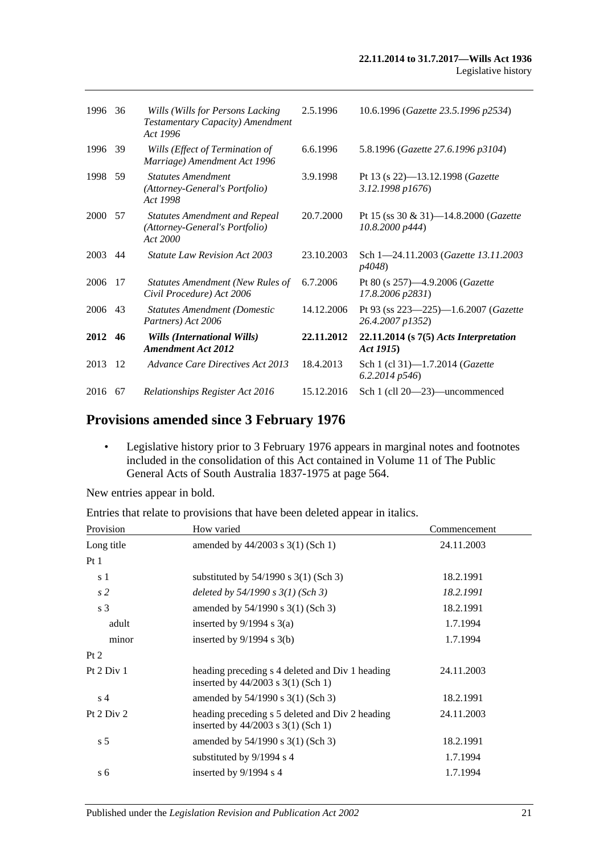| 1996        | 36  | Wills (Wills for Persons Lacking)<br>Testamentary Capacity) Amendment<br>Act 1996  | 2.5.1996   | 10.6.1996 (Gazette 23.5.1996 p2534)                              |
|-------------|-----|------------------------------------------------------------------------------------|------------|------------------------------------------------------------------|
| 1996        | 39  | Wills (Effect of Termination of<br>Marriage) Amendment Act 1996                    | 6.6.1996   | 5.8.1996 (Gazette 27.6.1996 p3104)                               |
| 1998        | 59  | <b>Statutes Amendment</b><br>(Attorney-General's Portfolio)<br>Act 1998            | 3.9.1998   | Pt 13 (s 22)-13.12.1998 (Gazette<br>3.12.1998 p1676)             |
| <b>2000</b> | .57 | <b>Statutes Amendment and Repeal</b><br>(Attorney-General's Portfolio)<br>Act 2000 | 20.7.2000  | Pt 15 (ss 30 & 31)—14.8.2000 ( <i>Gazette</i><br>10.8.2000 p444) |
| 2003        | 44  | <b>Statute Law Revision Act 2003</b>                                               | 23.10.2003 | Sch 1-24.11.2003 (Gazette 13.11.2003<br><i>p4048</i> )           |
| 2006        | -17 | <b>Statutes Amendment (New Rules of</b><br>Civil Procedure) Act 2006               | 6.7.2006   | Pt 80 (s 257)-4.9.2006 (Gazette<br>17.8.2006 p2831)              |
| 2006 43     |     | <b>Statutes Amendment (Domestic</b><br>Partners) Act 2006                          | 14.12.2006 | Pt 93 (ss 223-225)-1.6.2007 (Gazette<br>26.4.2007 p1352)         |
| 2012 46     |     | Wills (International Wills)<br><b>Amendment Act 2012</b>                           | 22.11.2012 | $22.11.2014$ (s $7(5)$ Acts Interpretation<br>Act 1915)          |
| 2013        | -12 | Advance Care Directives Act 2013                                                   | 18.4.2013  | Sch 1 (cl 31)-1.7.2014 ( <i>Gazette</i><br>$6.2.2014\ p546$      |
| 2016        | 67  | Relationships Register Act 2016                                                    | 15.12.2016 | Sch 1 (cll 20—23)—uncommenced                                    |

# **Provisions amended since 3 February 1976**

• Legislative history prior to 3 February 1976 appears in marginal notes and footnotes included in the consolidation of this Act contained in Volume 11 of The Public General Acts of South Australia 1837-1975 at page 564.

New entries appear in bold.

|  | Entries that relate to provisions that have been deleted appear in italics. |  |  |
|--|-----------------------------------------------------------------------------|--|--|
|--|-----------------------------------------------------------------------------|--|--|

| Provision      | How varied                                                                                | Commencement |
|----------------|-------------------------------------------------------------------------------------------|--------------|
| Long title     | amended by $44/2003$ s 3(1) (Sch 1)                                                       | 24.11.2003   |
| Pt1            |                                                                                           |              |
| s 1            | substituted by $54/1990$ s $3(1)$ (Sch 3)                                                 | 18.2.1991    |
| s <sub>2</sub> | deleted by $54/1990 s 3(1)$ (Sch 3)                                                       | 18.2.1991    |
| s 3            | amended by 54/1990 s 3(1) (Sch 3)                                                         | 18.2.1991    |
| adult          | inserted by $9/1994$ s $3(a)$                                                             | 1.7.1994     |
| minor          | inserted by $9/1994$ s $3(b)$                                                             | 1.7.1994     |
| Pt 2           |                                                                                           |              |
| Pt 2 Div 1     | heading preceding s 4 deleted and Div 1 heading<br>inserted by $44/2003$ s $3(1)$ (Sch 1) | 24.11.2003   |
| s <sub>4</sub> | amended by $54/1990$ s $3(1)$ (Sch 3)                                                     | 18.2.1991    |
| Pt $2$ Div $2$ | heading preceding s 5 deleted and Div 2 heading<br>inserted by $44/2003$ s $3(1)$ (Sch 1) | 24.11.2003   |
| s <sub>5</sub> | amended by 54/1990 s 3(1) (Sch 3)                                                         | 18.2.1991    |
|                | substituted by 9/1994 s 4                                                                 | 1.7.1994     |
| s <sub>6</sub> | inserted by $9/1994$ s 4                                                                  | 1.7.1994     |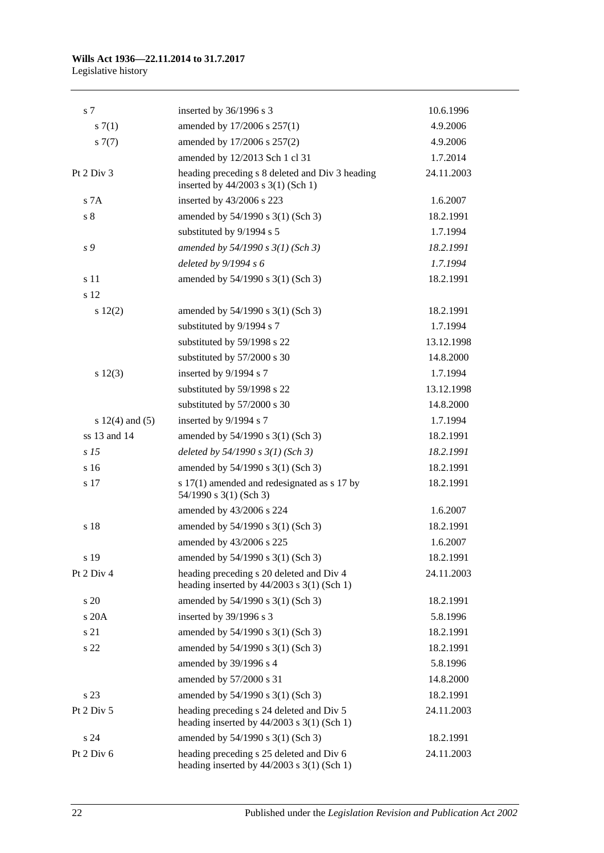# **Wills Act 1936—22.11.2014 to 31.7.2017**

Legislative history

| s <sub>7</sub>      | inserted by 36/1996 s 3                                                                    | 10.6.1996  |
|---------------------|--------------------------------------------------------------------------------------------|------------|
| s(7(1))             | amended by 17/2006 s 257(1)                                                                | 4.9.2006   |
| s(7)                | amended by 17/2006 s 257(2)                                                                | 4.9.2006   |
|                     | amended by 12/2013 Sch 1 cl 31                                                             | 1.7.2014   |
| Pt $2$ Div $3$      | heading preceding s 8 deleted and Div 3 heading<br>inserted by 44/2003 s 3(1) (Sch 1)      | 24.11.2003 |
| S <sub>7A</sub>     | inserted by 43/2006 s 223                                                                  | 1.6.2007   |
| s <sub>8</sub>      | amended by 54/1990 s 3(1) (Sch 3)                                                          | 18.2.1991  |
|                     | substituted by 9/1994 s 5                                                                  | 1.7.1994   |
| s 9                 | amended by $54/1990 s 3(1)$ (Sch 3)                                                        | 18.2.1991  |
|                     | deleted by 9/1994 s 6                                                                      | 1.7.1994   |
| s 11<br>s 12        | amended by 54/1990 s 3(1) (Sch 3)                                                          | 18.2.1991  |
| 12(2)               | amended by 54/1990 s 3(1) (Sch 3)                                                          | 18.2.1991  |
|                     | substituted by 9/1994 s 7                                                                  | 1.7.1994   |
|                     | substituted by 59/1998 s 22                                                                | 13.12.1998 |
|                     | substituted by 57/2000 s 30                                                                | 14.8.2000  |
| s 12(3)             | inserted by 9/1994 s 7                                                                     | 1.7.1994   |
|                     | substituted by 59/1998 s 22                                                                | 13.12.1998 |
|                     | substituted by 57/2000 s 30                                                                | 14.8.2000  |
| s $12(4)$ and $(5)$ | inserted by 9/1994 s 7                                                                     | 1.7.1994   |
| ss 13 and 14        | amended by 54/1990 s 3(1) (Sch 3)                                                          | 18.2.1991  |
| s <sub>15</sub>     | deleted by $54/1990 s 3(1)$ (Sch 3)                                                        | 18.2.1991  |
| s 16                | amended by 54/1990 s 3(1) (Sch 3)                                                          | 18.2.1991  |
| s 17                | s 17(1) amended and redesignated as s 17 by<br>54/1990 s 3(1) (Sch 3)                      | 18.2.1991  |
|                     | amended by 43/2006 s 224                                                                   | 1.6.2007   |
| s 18                | amended by 54/1990 s 3(1) (Sch 3)                                                          | 18.2.1991  |
|                     | amended by 43/2006 s 225                                                                   | 1.6.2007   |
| s 19                | amended by 54/1990 s 3(1) (Sch 3)                                                          | 18.2.1991  |
| Pt 2 Div 4          | heading preceding s 20 deleted and Div 4<br>heading inserted by $44/2003$ s $3(1)$ (Sch 1) | 24.11.2003 |
| s 20                | amended by 54/1990 s 3(1) (Sch 3)                                                          | 18.2.1991  |
| s 20A               | inserted by 39/1996 s 3                                                                    | 5.8.1996   |
| s 21                | amended by 54/1990 s 3(1) (Sch 3)                                                          | 18.2.1991  |
| s 22                | amended by 54/1990 s 3(1) (Sch 3)                                                          | 18.2.1991  |
|                     | amended by 39/1996 s 4                                                                     | 5.8.1996   |
|                     | amended by 57/2000 s 31                                                                    | 14.8.2000  |
| s 23                | amended by 54/1990 s 3(1) (Sch 3)                                                          | 18.2.1991  |
| Pt 2 Div 5          | heading preceding s 24 deleted and Div 5<br>heading inserted by $44/2003$ s $3(1)$ (Sch 1) | 24.11.2003 |
| s <sub>24</sub>     | amended by 54/1990 s 3(1) (Sch 3)                                                          | 18.2.1991  |
| Pt 2 Div 6          | heading preceding s 25 deleted and Div 6<br>heading inserted by $44/2003$ s $3(1)$ (Sch 1) | 24.11.2003 |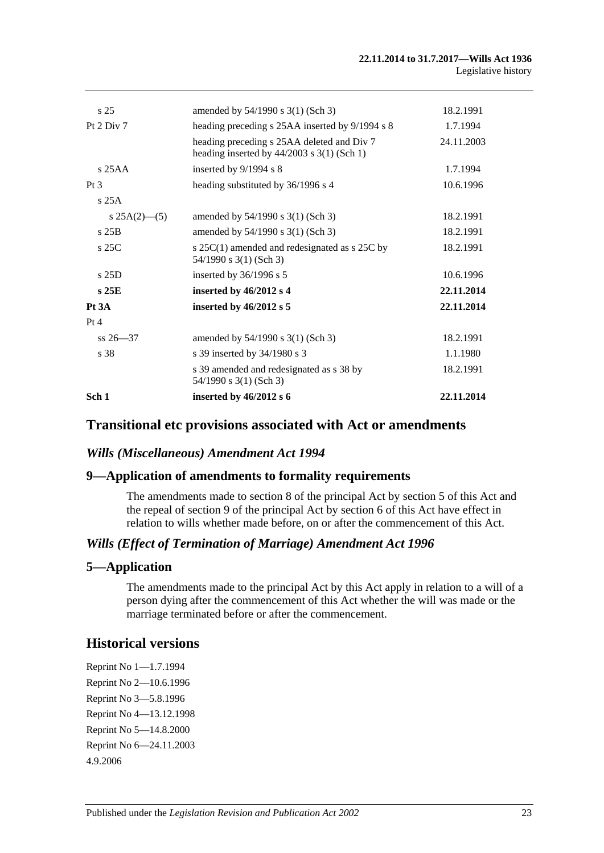| s <sub>25</sub> | amended by 54/1990 s 3(1) (Sch 3)                                                          | 18.2.1991  |
|-----------------|--------------------------------------------------------------------------------------------|------------|
|                 |                                                                                            |            |
| Pt 2 Div 7      | heading preceding s 25AA inserted by 9/1994 s 8                                            | 1.7.1994   |
|                 | heading preceding s 25AA deleted and Div 7<br>heading inserted by $44/2003$ s 3(1) (Sch 1) | 24.11.2003 |
| $s$ 25AA        | inserted by $9/1994$ s 8                                                                   | 1.7.1994   |
| Pt <sub>3</sub> | heading substituted by 36/1996 s 4                                                         | 10.6.1996  |
| s25A            |                                                                                            |            |
| $s 25A(2)$ —(5) | amended by 54/1990 s 3(1) (Sch 3)                                                          | 18.2.1991  |
| $s$ 25B         | amended by 54/1990 s 3(1) (Sch 3)                                                          | 18.2.1991  |
| $s$ 25C         | s $25C(1)$ amended and redesignated as s $25C$ by<br>54/1990 s 3(1) (Sch 3)                | 18.2.1991  |
| $s$ 25D         | inserted by $36/1996$ s 5                                                                  | 10.6.1996  |
| s25E            | inserted by $46/2012$ s 4                                                                  | 22.11.2014 |
| Pt 3A           | inserted by $46/2012$ s 5                                                                  | 22.11.2014 |
| Pt 4            |                                                                                            |            |
| $ss 26 - 37$    | amended by $54/1990$ s $3(1)$ (Sch 3)                                                      | 18.2.1991  |
| s 38            | s 39 inserted by 34/1980 s 3                                                               | 1.1.1980   |
|                 | s 39 amended and redesignated as s 38 by<br>54/1990 s 3(1) (Sch 3)                         | 18.2.1991  |
| Sch 1           | inserted by $46/2012$ s 6                                                                  | 22.11.2014 |

## **Transitional etc provisions associated with Act or amendments**

## *Wills (Miscellaneous) Amendment Act 1994*

## **9—Application of amendments to formality requirements**

The amendments made to section 8 of the principal Act by section 5 of this Act and the repeal of section 9 of the principal Act by section 6 of this Act have effect in relation to wills whether made before, on or after the commencement of this Act.

## *Wills (Effect of Termination of Marriage) Amendment Act 1996*

## **5—Application**

The amendments made to the principal Act by this Act apply in relation to a will of a person dying after the commencement of this Act whether the will was made or the marriage terminated before or after the commencement.

## **Historical versions**

Reprint No 1—1.7.1994 Reprint No 2—10.6.1996 Reprint No 3—5.8.1996 Reprint No 4—13.12.1998 Reprint No 5—14.8.2000 Reprint No 6—24.11.2003 4.9.2006